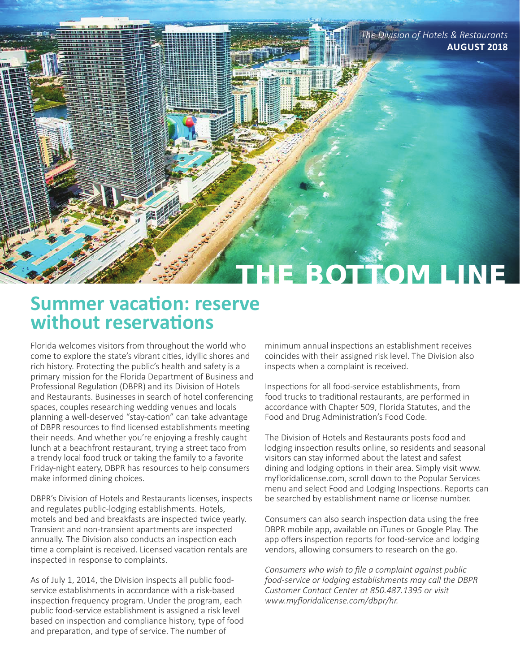

## **Summer vacation: reserve without reservations**

Florida welcomes visitors from throughout the world who come to explore the state's vibrant cities, idyllic shores and rich history. Protecting the public's health and safety is a primary mission for the Florida Department of Business and Professional Regulation (DBPR) and its Division of Hotels and Restaurants. Businesses in search of hotel conferencing spaces, couples researching wedding venues and locals planning a well-deserved "stay-cation" can take advantage of DBPR resources to find licensed establishments meeting their needs. And whether you're enjoying a freshly caught lunch at a beachfront restaurant, trying a street taco from a trendy local food truck or taking the family to a favorite Friday-night eatery, DBPR has resources to help consumers make informed dining choices.

DBPR's Division of Hotels and Restaurants licenses, inspects and regulates public-lodging establishments. Hotels, motels and bed and breakfasts are inspected twice yearly. Transient and non-transient apartments are inspected annually. The Division also conducts an inspection each time a complaint is received. Licensed vacation rentals are inspected in response to complaints.

As of July 1, 2014, the Division inspects all public foodservice establishments in accordance with a risk-based inspection frequency program. Under the program, each public food-service establishment is assigned a risk level based on inspection and compliance history, type of food and preparation, and type of service. The number of

minimum annual inspections an establishment receives coincides with their assigned risk level. The Division also inspects when a complaint is received.

Inspections for all food-service establishments, from food trucks to traditional restaurants, are performed in accordance with Chapter 509, Florida Statutes, and the Food and Drug Administration's Food Code.

The Division of Hotels and Restaurants posts food and lodging inspection results online, so residents and seasonal visitors can stay informed about the latest and safest dining and lodging options in their area. Simply visit www. myfloridalicense.com, scroll down to the Popular Services menu and select Food and Lodging Inspections. Reports can be searched by establishment name or license number.

Consumers can also search inspection data using the free DBPR mobile app, available on iTunes or Google Play. The app offers inspection reports for food-service and lodging vendors, allowing consumers to research on the go.

*Consumers who wish to file a complaint against public food-service or lodging establishments may call the DBPR Customer Contact Center at 850.487.1395 or visit www.myfloridalicense.com/dbpr/hr.*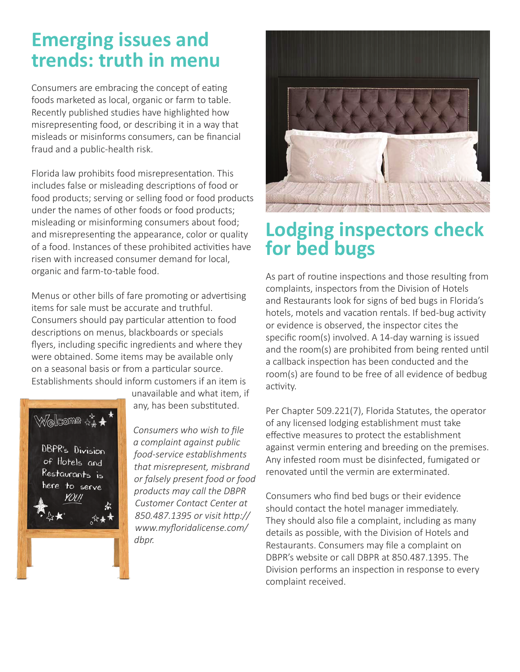# **Emerging issues and trends: truth in menu**

Consumers are embracing the concept of eating foods marketed as local, organic or farm to table. Recently published studies have highlighted how misrepresenting food, or describing it in a way that misleads or misinforms consumers, can be financial fraud and a public-health risk.

Florida law prohibits food misrepresentation. This includes false or misleading descriptions of food or food products; serving or selling food or food products under the names of other foods or food products; misleading or misinforming consumers about food; and misrepresenting the appearance, color or quality of a food. Instances of these prohibited activities have risen with increased consumer demand for local, organic and farm-to-table food.

Menus or other bills of fare promoting or advertising items for sale must be accurate and truthful. Consumers should pay particular attention to food descriptions on menus, blackboards or specials flyers, including specific ingredients and where they were obtained. Some items may be available only on a seasonal basis or from a particular source. Establishments should inform customers if an item is



unavailable and what item, if any, has been substituted.

*Consumers who wish to file a complaint against public food-service establishments that misrepresent, misbrand or falsely present food or food products may call the DBPR Customer Contact Center at 850.487.1395 or visit http:// www.myfloridalicense.com/ dbpr.*



## **Lodging inspectors check for bed bugs**

As part of routine inspections and those resulting from complaints, inspectors from the Division of Hotels and Restaurants look for signs of bed bugs in Florida's hotels, motels and vacation rentals. If bed-bug activity or evidence is observed, the inspector cites the specific room(s) involved. A 14-day warning is issued and the room(s) are prohibited from being rented until a callback inspection has been conducted and the room(s) are found to be free of all evidence of bedbug activity.

Per Chapter 509.221(7), Florida Statutes, the operator of any licensed lodging establishment must take effective measures to protect the establishment against vermin entering and breeding on the premises. Any infested room must be disinfected, fumigated or renovated until the vermin are exterminated.

Consumers who find bed bugs or their evidence should contact the hotel manager immediately. They should also file a complaint, including as many details as possible, with the Division of Hotels and Restaurants. Consumers may file a complaint on DBPR's website or call DBPR at 850.487.1395. The Division performs an inspection in response to every complaint received.